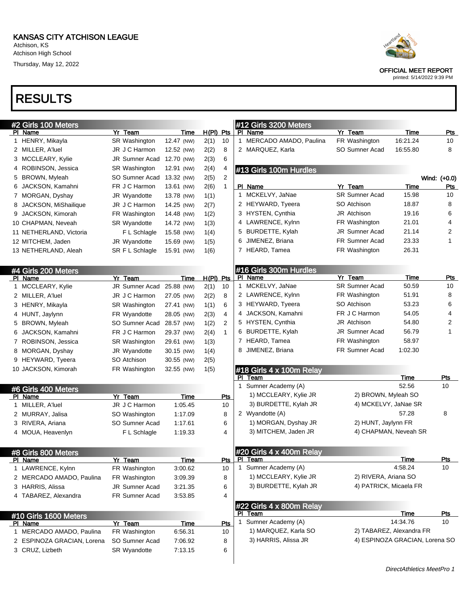Atchison High School Thursday, May 12, 2022

# RESULTS

| #2 Girls 100 Meters        |                      |            |             |            |   | #12 Girls 3200 Meters           |                                |                         |                  |
|----------------------------|----------------------|------------|-------------|------------|---|---------------------------------|--------------------------------|-------------------------|------------------|
| <u>PI Name</u>             | Yr Team              | Time       | $H(PI)$ Pts |            |   | PI Name                         | Yr Team                        | <b>Time</b>             | <b>Pts</b>       |
| 1 HENRY, Mikayla           | SR Washington        | 12.47 (NW) | 2(1)        | 10         |   | 1 MERCADO AMADO, Paulina        | FR Washington                  | 16:21.24                | 10               |
| 2 MILLER, A'luel           | JR J C Harmon        | 12.52 (NW) | 2(2)        | 8          |   | 2 MARQUEZ, Karla                | SO Sumner Acad                 | 16:55.80                | 8                |
| 3 MCCLEARY, Kylie          | JR Sumner Acad       | 12.70 (NW) | 2(3)        | 6          |   |                                 |                                |                         |                  |
| 4 ROBINSON, Jessica        | <b>SR Washington</b> | 12.91 (NW) | 2(4)        | 4          |   | #13 Girls 100m Hurdles          |                                |                         |                  |
| 5 BROWN, Myleah            | SO Sumner Acad       | 13.32 (NW) | 2(5)        | 2          |   |                                 |                                |                         | Wind: (+0.0)     |
| 6 JACKSON, Kamahni         | FR J C Harmon        | 13.61 (NW) | 2(6)        | 1          |   | PI Name                         | Yr Team                        | Time                    | Pts              |
| 7 MORGAN, Dyshay           | JR Wyandotte         | 13.78 (NW) | 1(1)        |            |   | 1 MCKELVY, JaNae                | <b>SR Sumner Acad</b>          | 15.98                   | 10               |
| 8 JACKSON, MiShailique     | JR J C Harmon        | 14.25 (NW) | 2(7)        |            |   | 2 HEYWARD, Tyeera               | SO Atchison                    | 18.87                   | 8                |
| 9 JACKSON, Kimorah         | FR Washington        | 14.48 (NW) | 1(2)        |            |   | 3 HYSTEN, Cynthia               | <b>JR Atchison</b>             | 19.16                   | 6                |
| 10 CHAPMAN, Neveah         | <b>SR Wyandotte</b>  | 14.72 (NW) | 1(3)        |            |   | 4 LAWRENCE, Kylnn               | FR Washington                  | 21.01                   | 4                |
| 11 NETHERLAND, Victoria    | F L Schlagle         | 15.58 (NW) | 1(4)        |            | 5 | BURDETTE, Kylah                 | <b>JR Sumner Acad</b>          | 21.14                   | 2                |
| 12 MITCHEM, Jaden          | JR Wyandotte         | 15.69 (NW) | 1(5)        |            | 6 | JIMENEZ, Briana                 | FR Sumner Acad                 | 23.33                   | 1                |
| 13 NETHERLAND, Aleah       | SR F L Schlagle      | 15.91 (NW) | 1(6)        |            |   | 7 HEARD, Tamea                  | FR Washington                  | 26.31                   |                  |
|                            |                      |            |             |            |   |                                 |                                |                         |                  |
| #4 Girls 200 Meters        |                      |            |             |            |   | #16 Girls 300m Hurdles          |                                |                         |                  |
| PI Name                    | Yr Team              | Time       | $H(PI)$ Pts |            |   | PI Name                         | Yr Team                        | Time                    | <u>Pts</u>       |
| 1 MCCLEARY, Kylie          | JR Sumner Acad       | 25.88 (NW) | 2(1)        | 10         |   | 1 MCKELVY, JaNae                | <b>SR Sumner Acad</b>          | 50.59                   | 10               |
| 2 MILLER, A'luel           | JR J C Harmon        | 27.05 (NW) | 2(2)        | 8          |   | 2 LAWRENCE, Kylnn               | FR Washington                  | 51.91                   | 8                |
| 3 HENRY, Mikayla           | SR Washington        | 27.41 (NW) | 1(1)        | 6          |   | 3 HEYWARD, Tyeera               | SO Atchison                    | 53.23                   | 6                |
| 4 HUNT, Jaylynn            | FR Wyandotte         | 28.05 (NW) | 2(3)        | 4          |   | 4 JACKSON, Kamahni              | FR J C Harmon                  | 54.05                   | 4                |
| 5 BROWN, Myleah            | SO Sumner Acad       | 28.57 (NW) | 1(2)        | 2          |   | 5 HYSTEN, Cynthia               | <b>JR Atchison</b>             | 54.80                   | $\overline{2}$   |
| 6 JACKSON, Kamahni         | FR J C Harmon        | 29.37 (NW) | 2(4)        | 1          |   | 6 BURDETTE, Kylah               | <b>JR Sumner Acad</b>          | 56.79                   | 1                |
| 7 ROBINSON, Jessica        | SR Washington        | 29.61 (NW) | 1(3)        |            |   | 7 HEARD, Tamea                  | FR Washington                  | 58.97                   |                  |
| 8 MORGAN, Dyshay           | JR Wyandotte         | 30.15 (NW) | 1(4)        |            | 8 | JIMENEZ, Briana                 | FR Sumner Acad                 | 1:02.30                 |                  |
| 9 HEYWARD, Tyeera          | SO Atchison          | 30.55 (NW) | 2(5)        |            |   |                                 |                                |                         |                  |
| 10 JACKSON, Kimorah        | FR Washington        | 32.55 (NW) | 1(5)        |            |   | #18 Girls 4 x 100m Relay        |                                |                         |                  |
|                            |                      |            |             |            |   | PI Team                         |                                | Time                    | <u>Pts</u>       |
| #6 Girls 400 Meters        |                      |            |             |            |   | 1 Sumner Academy (A)            |                                | 52.56                   | 10               |
| PI Name                    | Yr Team              | Time       |             | Pts        |   | 1) MCCLEARY, Kylie JR           | 2) BROWN, Myleah SO            |                         |                  |
| 1 MILLER, A'luel           | JR J C Harmon        | 1:05.45    |             | 10         |   | 3) BURDETTE, Kylah JR           | 4) MCKELVY, JaNae SR           |                         |                  |
| 2 MURRAY, Jalisa           | SO Washington        | 1:17.09    |             | 8          |   | 2 Wyandotte (A)                 |                                | 57.28                   | 8                |
| 3 RIVERA, Ariana           | SO Sumner Acad       | 1:17.61    |             | 6          |   | 1) MORGAN, Dyshay JR            | 2) HUNT, Jaylynn FR            |                         |                  |
| 4 MOUA, Heavenlyn          | F L Schlagle         | 1:19.33    |             | 4          |   | 3) MITCHEM, Jaden JR            | 4) CHAPMAN, Neveah SR          |                         |                  |
|                            |                      |            |             |            |   |                                 |                                |                         |                  |
| #8 Girls 800 Meters        |                      |            |             |            |   | #20 Girls 4 x 400m Relay        |                                |                         |                  |
| PI Name                    | Yr Team              | Time       |             | <b>Pts</b> |   | PI Team                         |                                | Time                    | Pts              |
| 1 LAWRENCE, Kylnn          | FR Washington        | 3:00.62    |             | 10         |   | 1 Sumner Academy (A)            |                                | 4:58.24                 | 10               |
| 2 MERCADO AMADO, Paulina   | FR Washington        | 3:09.39    |             | 8          |   | 1) MCCLEARY, Kylie JR           | 2) RIVERA, Ariana SO           |                         |                  |
| 3 HARRIS, Alissa           | JR Sumner Acad       | 3:21.35    |             | 6          |   | 3) BURDETTE, Kylah JR           | 4) PATRICK, Micaela FR         |                         |                  |
| 4 TABAREZ, Alexandra       | FR Sumner Acad       | 3:53.85    |             | 4          |   |                                 |                                |                         |                  |
|                            |                      |            |             |            |   | #22 Girls 4 x 800m Relay        |                                |                         |                  |
| #10 Girls 1600 Meters      |                      |            |             |            |   | PI Team<br>1 Sumner Academy (A) |                                | <u>Time</u><br>14:34.76 | <u>Pts</u><br>10 |
| PI Name                    | Yr Team              | Time       |             | Pts        |   | 1) MARQUEZ, Karla SO            | 2) TABAREZ, Alexandra FR       |                         |                  |
| 1 MERCADO AMADO, Paulina   | FR Washington        | 6:56.31    |             | 10         |   | 3) HARRIS, Alissa JR            | 4) ESPINOZA GRACIAN, Lorena SO |                         |                  |
| 2 ESPINOZA GRACIAN, Lorena | SO Sumner Acad       | 7:06.92    |             | 8          |   |                                 |                                |                         |                  |
| 3 CRUZ, Lizbeth            | SR Wyandotte         | 7:13.15    |             | 6          |   |                                 |                                |                         |                  |
|                            |                      |            |             |            |   |                                 |                                |                         |                  |



OFFICIAL MEET REPORT

printed: 5/14/2022 9:39 PM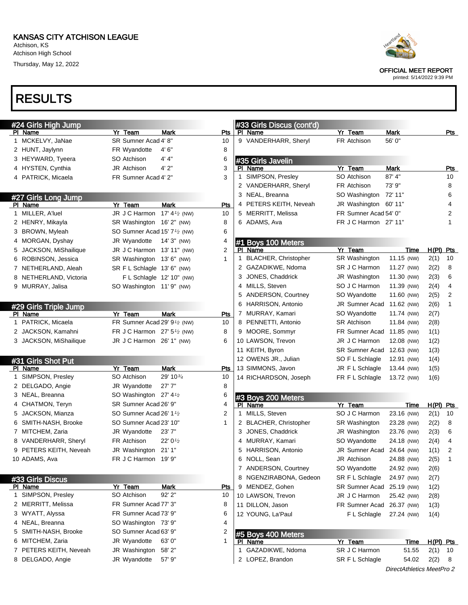Atchison, KS Atchison High School Thursday, May 12, 2022



OFFICIAL MEET REPORT

printed: 5/14/2022 9:39 PM

# RESULTS

|   | #24 Girls High Jump    |                                                       |                                   |            |   | #33 Girls Discus (cont'd)     |                           |                           |                      |                     |                |
|---|------------------------|-------------------------------------------------------|-----------------------------------|------------|---|-------------------------------|---------------------------|---------------------------|----------------------|---------------------|----------------|
|   | PI Name                | Yr Team                                               | Mark                              | Pts        |   | PI Name                       | Yr Team                   | Mark                      |                      |                     | Pts            |
|   | 1 MCKELVY, JaNae       | SR Sumner Acad 4' 8"                                  |                                   | 10         |   | 9 VANDERHARR, Sheryl          | FR Atchison               | 56' 0"                    |                      |                     |                |
|   | 2 HUNT, Jaylynn        | FR Wyandotte                                          | 4'6''                             | 8          |   |                               |                           |                           |                      |                     |                |
|   | 3 HEYWARD, Tyeera      | SO Atchison                                           | 4' 4''                            | 6          |   | #35 Girls Javelin             |                           |                           |                      |                     |                |
|   | 4 HYSTEN, Cynthia      | <b>JR Atchison</b>                                    | 4'2"                              | 3          |   | PI Name                       | Yr Team                   | <b>Mark</b>               |                      |                     | Pts            |
|   | 4 PATRICK, Micaela     | FR Sumner Acad 4' 2"                                  |                                   | 3          |   | 1 SIMPSON, Presley            | SO Atchison               | 87' 4"                    |                      |                     | 10             |
|   |                        |                                                       |                                   |            |   | 2 VANDERHARR, Sheryl          | FR Atchison               | 73' 9"                    |                      |                     | 8              |
|   | #27 Girls Long Jump    |                                                       |                                   |            |   | 3 NEAL, Breanna               | SO Washington             | 72' 11"                   |                      |                     | 6              |
|   | PI Name                | Yr Team                                               | <b>Mark</b>                       | <b>Pts</b> |   | 4 PETERS KEITH, Neveah        | JR Washington 60' 11"     |                           |                      |                     | 4              |
|   | 1 MILLER, A'luel       | JR J C Harmon 17' 4 <sup>1</sup> / <sub>2</sub> (NW)  |                                   | 10         |   | 5 MERRITT, Melissa            | FR Sumner Acad 54' 0"     |                           |                      |                     | 2              |
|   | 2 HENRY, Mikayla       | SR Washington 16' 2" (NW)                             |                                   | 8          |   | 6 ADAMS, Ava                  | FR J C Harmon 27' 11"     |                           |                      |                     | 1              |
|   | 3 BROWN, Myleah        | SO Sumner Acad 15' 7 <sup>1</sup> / <sub>2</sub> (NW) |                                   | 6          |   |                               |                           |                           |                      |                     |                |
|   | 4 MORGAN, Dyshay       | JR Wyandotte                                          | 14' 3" (NW)                       | 4          |   | #1 Boys 100 Meters            |                           |                           |                      |                     |                |
|   | JACKSON, MiShailique   | JR J C Harmon 13' 11" (NW)                            |                                   | 2          |   | PI Name                       | Yr Team                   |                           | Time                 | $H(PI)$ Pts         |                |
|   | 6 ROBINSON, Jessica    | SR Washington 13' 6" (NW)                             |                                   | 1          |   | 1 BLACHER, Christopher        | SR Washington             | 11.15 (NW)                |                      | 2(1)                | 10             |
|   | 7 NETHERLAND, Aleah    | SR F L Schlagle 13' 6" (NW)                           |                                   |            |   | 2 GAZADIKWE, Ndoma            | SR J C Harmon             | 11.27 (NW)                |                      | 2(2)                | 8              |
|   | 8 NETHERLAND, Victoria |                                                       | F L Schlagle 12' 10" (NW)         |            |   | 3 JONES, Chaddrick            | JR Washington             | 11.30 (NW)                |                      | 2(3)                | 6              |
|   | 9 MURRAY, Jalisa       | SO Washington 11'9" (NW)                              |                                   |            |   | 4 MILLS, Steven               | SO J C Harmon             | 11.39 (NW)                |                      | 2(4)                | 4              |
|   |                        |                                                       |                                   |            |   | 5 ANDERSON, Courtney          | SO Wyandotte              | 11.60 (NW)                |                      | 2(5)                | $\overline{2}$ |
|   | #29 Girls Triple Jump  |                                                       |                                   |            |   | 6 HARRISON, Antonio           | JR Sumner Acad 11.62 (NW) |                           |                      | 2(6)                | $\mathbf{1}$   |
|   | PI Name                | Yr Team                                               | Mark                              | Pts        |   | 7 MURRAY, Kamari              | SO Wyandotte              | 11.74 (NW)                |                      | 2(7)                |                |
|   | 1 PATRICK, Micaela     | FR Sumner Acad 29' 9 <sup>1/2</sup> (NW)              |                                   | 10         |   | 8 PENNETTI, Antonio           | <b>SR Atchison</b>        | 11.84 (NW)                |                      | 2(8)                |                |
|   | 2 JACKSON, Kamahni     | FR J C Harmon 27' 5 <sup>1/2</sup> (NW)               |                                   | 8          |   | 9 MOORE, Sommyr               | FR Sumner Acad 11.85 (NW) |                           |                      | 1(1)                |                |
|   | 3 JACKSON, MiShailique | JR J C Harmon 26' 1" (NW)                             |                                   | 6          |   | 10 LAWSON, Trevon             | JR J C Harmon             | 12.08 (NW)                |                      | 1(2)                |                |
|   |                        |                                                       |                                   |            |   | 11 KEITH, Byron               | SR Sumner Acad 12.63 (NW) |                           |                      | 1(3)                |                |
|   | #31 Girls Shot Put     |                                                       |                                   |            |   | 12 OWENS JR., Julian          | SO F L Schlagle           | 12.91 (NW)                |                      | 1(4)                |                |
|   | PI Name                | Yr Team                                               | Mark                              | Pts        |   | 13 SIMMONS, Javon             | JR F L Schlagle           | 13.44 (NW)                |                      | 1(5)                |                |
|   | 1 SIMPSON, Presley     | SO Atchison                                           | 29' 10 $\frac{3}{4}$              | 10         |   | 14 RICHARDSON, Joseph         | FR F L Schlagle           | 13.72 (NW)                |                      | 1(6)                |                |
|   | 2 DELGADO, Angie       | JR Wyandotte                                          | 27'7"                             | 8          |   |                               |                           |                           |                      |                     |                |
|   | 3 NEAL, Breanna        | SO Washington 27' 4 <sup>1/2</sup>                    |                                   | 6          |   | #3 Boys 200 Meters            |                           |                           |                      |                     |                |
|   | 4 CHATMON, Teryn       | SR Sumner Acad 26' 9"                                 |                                   | 4          |   | PI Name                       | Yr Team                   |                           | Time                 | $H(PI)$ Pts         |                |
|   | 5 JACKSON, Mianza      | SO Sumner Acad 26' 1 <sup>1</sup> /2                  |                                   | 2          |   | 1 MILLS, Steven               | SO J C Harmon             | 23.16 (NW)                |                      | 2(1)                | 10             |
|   | 6 SMITH-NASH, Brooke   | SO Sumner Acad 23' 10"                                |                                   | 1          |   | 2 BLACHER, Christopher        | SR Washington             | 23.28 (NW)                |                      | 2(2)                | 8              |
|   | 7 MITCHEM, Zaria       | JR Wyandotte                                          | 23'7"                             |            |   | 3 JONES, Chaddrick            | JR Washington             | 23.76 (NW)                |                      | 2(3)                | 6              |
|   | 8 VANDERHARR, Sheryl   | FR Atchison                                           | 22' 0 <sup>1</sup> / <sub>2</sub> |            |   | 4 MURRAY, Kamari              | SO Wyandotte              | 24.18 (NW)                |                      | 2(4)                | 4              |
|   | 9 PETERS KEITH, Neveah | JR Washington                                         | 21'1"                             |            | 5 | HARRISON, Antonio             | JR Sumner Acad 24.64 (NW) |                           |                      | 1(1)                | 2              |
|   | 10 ADAMS, Ava          | FR J C Harmon 19' 9"                                  |                                   |            |   | 6 NOLL, Sean                  | <b>JR</b> Atchison        | 24.88 (NW)                |                      | 2(5)                | $\mathbf{1}$   |
|   |                        |                                                       |                                   |            |   | 7 ANDERSON, Courtney          | SO Wyandotte              | 24.92 (NW)                |                      | 2(6)                |                |
|   | #33 Girls Discus       |                                                       |                                   |            |   | 8 NGENZIRABONA, Gedeon        | SR F L Schlagle           | 24.97 (NW)                |                      | 2(7)                |                |
|   | <b>PI Name</b>         | Yr Team                                               | <b>Mark</b>                       | <u>Pts</u> |   | 9 MENDEZ, Gohen               | SR Sumner Acad 25.19 (NW) |                           |                      | 1(2)                |                |
| 1 | SIMPSON, Presley       | SO Atchison                                           | 92' 2"                            | 10         |   | 10 LAWSON, Trevon             | JR J C Harmon             | 25.42 (NW)                |                      | 2(8)                |                |
|   | 2 MERRITT, Melissa     | FR Sumner Acad 77' 3"                                 |                                   | 8          |   | 11 DILLON, Jason              | FR Sumner Acad 26.37 (NW) |                           |                      | 1(3)                |                |
|   | 3 WYATT, Alyssa        | FR Sumner Acad 73' 9"                                 |                                   | 6          |   | 12 YOUNG, La'Paul             | F L Schlagle              | 27.24 (NW)                |                      |                     |                |
| 4 | NEAL, Breanna          | SO Washington 73' 9"                                  |                                   | 4          |   |                               |                           |                           |                      | 1(4)                |                |
| 5 | SMITH-NASH, Brooke     | SO Sumner Acad 63' 9"                                 |                                   | 2          |   |                               |                           |                           |                      |                     |                |
| 6 | MITCHEM, Zaria         | JR Wyandotte                                          | 63'0"                             | 1          |   | #5 Boys 400 Meters            | Yr Team                   |                           |                      |                     |                |
| 7 | PETERS KEITH, Neveah   | JR Washington                                         | 58'2"                             |            |   | PI Name<br>1 GAZADIKWE, Ndoma | SR J C Harmon             |                           | <u>Time</u><br>51.55 | $H(PI)$ Pts<br>2(1) |                |
|   | 8 DELGADO, Angie       | JR Wyandotte                                          | 57' 9"                            |            |   | 2 LOPEZ, Brandon              | SR F L Schlagle           |                           | 54.02                |                     | 10             |
|   |                        |                                                       |                                   |            |   |                               |                           |                           |                      | 2(2)                | 8              |
|   |                        |                                                       |                                   |            |   |                               |                           | DirectAthletics MeetPro 2 |                      |                     |                |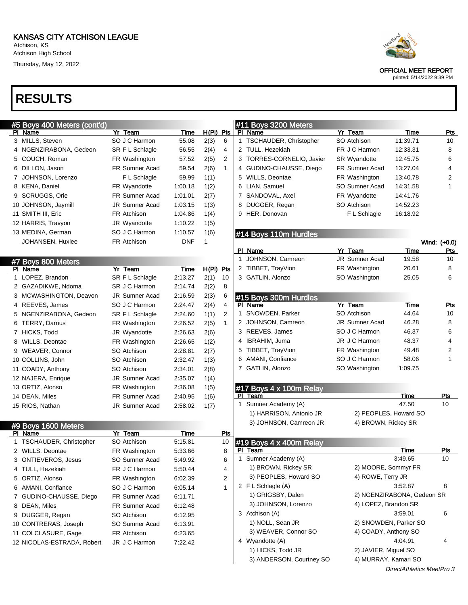### KANSAS CITY ATCHISON LEAGUE

Atchison, KS Atchison High School Thursday, May 12, 2022

| <b>RESULTS</b> |
|----------------|
|----------------|

|     | #5 Boys 400 Meters (cont'd) |                       |            |       |     |
|-----|-----------------------------|-----------------------|------------|-------|-----|
| PI. | Name                        | Yr Team               | Time       | H(PI) | Pts |
| 3   | MILLS, Steven               | SO J C Harmon         | 55.08      | 2(3)  | 6   |
|     | NGENZIRABONA, Gedeon        | SR F L Schlagle       | 56.55      | 2(4)  | 4   |
| 5   | COUCH, Roman                | FR Washington         | 57.52      | 2(5)  | 2   |
| 6   | DILLON, Jason               | <b>FR Sumner Acad</b> | 59.54      | 2(6)  | 1   |
|     | JOHNSON, Lorenzo            | F L Schlagle          | 59.99      | 1(1)  |     |
| 8   | <b>KENA, Daniel</b>         | FR Wyandotte          | 1:00.18    | 1(2)  |     |
| 9   | <b>SCRUGGS, Orie</b>        | <b>FR Sumner Acad</b> | 1:01.01    | 2(7)  |     |
|     | 10 JOHNSON, Jaymill         | <b>JR Sumner Acad</b> | 1:03.15    | 1(3)  |     |
|     | 11 SMITH III, Eric          | FR Atchison           | 1:04.86    | 1(4)  |     |
|     | 12 HARRIS, Travyon          | JR Wyandotte          | 1:10.22    | 1(5)  |     |
|     | 13 MEDINA, German           | SO J C Harmon         | 1:10.57    | 1(6)  |     |
|     | JOHANSEN, Huxlee            | FR Atchison           | <b>DNF</b> | 1     |     |
|     |                             |                       |            |       |     |

|    | #7 Boys 800 Meters    |                       |         |       |                |
|----|-----------------------|-----------------------|---------|-------|----------------|
| ΡI | Name                  | Yr Team               | Time    | H(Pl) | Pts            |
| 1  | LOPEZ, Brandon        | SR F L Schlagle       | 2:13.27 | 2(1)  | 10             |
| 2  | GAZADIKWE, Ndoma      | SR J C Harmon         | 2:14.74 | 2(2)  | 8              |
| 3  | MCWASHINGTON, Deavon  | <b>JR Sumner Acad</b> | 2:16.59 | 2(3)  | 6              |
| 4  | REEVES, James         | SO J C Harmon         | 2.24.47 | 2(4)  | 4              |
| 5  | NGENZIRABONA, Gedeon  | SR F L Schlagle       | 2.24.60 | 1(1)  | $\overline{2}$ |
| 6  | <b>TERRY, Darrius</b> | FR Washington         | 2.26.52 | 2(5)  | 1              |
| 7  | HICKS, Todd           | <b>JR Wyandotte</b>   | 2.26.63 | 2(6)  |                |
| 8  | <b>WILLS, Deontae</b> | FR Washington         | 2:26.65 | 1(2)  |                |
| 9  | <b>WEAVER, Connor</b> | SO Atchison           | 2:28.81 | 2(7)  |                |
|    | 10 COLLINS, John      | SO Atchison           | 2.32.47 | 1(3)  |                |
|    | 11 COADY, Anthony     | SO Atchison           | 2:34.01 | 2(8)  |                |
|    | 12 NAJERA, Enrique    | <b>JR Sumner Acad</b> | 2.35.07 | 1(4)  |                |
|    | 13 ORTIZ, Alonso      | FR Washington         | 2.36.08 | 1(5)  |                |
|    | 14 DEAN, Miles        | FR Sumner Acad        | 2.40.95 | 1(6)  |                |
|    | 15 RIOS, Nathan       | JR Sumner Acad        | 2:58.02 | 1(7)  |                |

|    | #9 Boys 1600 Meters           |                       |         |     |
|----|-------------------------------|-----------------------|---------|-----|
|    | Name                          | Yr Team               | Time    | Pts |
| 1  | <b>TSCHAUDER, Christopher</b> | SO Atchison           | 5:15.81 | 10  |
|    | 2 WILLS, Deontae              | FR Washington         | 5.33.66 | 8   |
|    | 3 ONTIEVEROS, Jesus           | SO Sumner Acad        | 5:49.92 | 6   |
| 4  | TULL, Hezekiah                | FR J C Harmon         | 5:50.44 | 4   |
| 5. | ORTIZ, Alonso                 | FR Washington         | 6:02.39 | 2   |
| 6  | AMANI, Confiance              | SO J C Harmon         | 6:05.14 | 1   |
| 7  | GUDINO-CHAUSSE, Diego         | <b>FR Sumner Acad</b> | 6:11.71 |     |
| 8  | DEAN, Miles                   | <b>FR Sumner Acad</b> | 6:12.48 |     |
| 9  | DUGGER, Regan                 | SO Atchison           | 6:12.95 |     |
|    | 10 CONTRERAS, Joseph          | SO Sumner Acad        | 6:13.91 |     |
|    | 11 COLCLASURE, Gage           | <b>FR Atchison</b>    | 6.23.65 |     |
|    | 12 NICOLAS-ESTRADA, Robert    | JR J C Harmon         | 7:22.42 |     |



#### OFFICIAL MEET REPORT

printed: 5/14/2022 9:39 PM

|    | #11 Boys 3200 Meters          |                       |          |     |  |  |  |  |  |  |
|----|-------------------------------|-----------------------|----------|-----|--|--|--|--|--|--|
|    | PI Name                       | Yr Team               | Time     | Pts |  |  |  |  |  |  |
| 1. | <b>TSCHAUDER, Christopher</b> | SO Atchison           | 11:39.71 | 10  |  |  |  |  |  |  |
|    | 2 TULL, Hezekiah              | FR J C Harmon         | 12:33.31 | 8   |  |  |  |  |  |  |
|    | 3 TORRES-CORNELIO, Javier     | <b>SR Wyandotte</b>   | 12:45.75 | 6   |  |  |  |  |  |  |
| 4  | GUDINO-CHAUSSE, Diego         | <b>FR</b> Sumner Acad | 13:27.04 | 4   |  |  |  |  |  |  |
|    | 5 WILLS, Deontae              | FR Washington         | 13:40.78 | 2   |  |  |  |  |  |  |
| 6  | LIAN, Samuel                  | SO Sumner Acad        | 14:31.58 | 1   |  |  |  |  |  |  |
|    | 7 SANDOVAL, Axel              | FR Wyandotte          | 14:41.76 |     |  |  |  |  |  |  |
| 8  | DUGGER, Regan                 | SO Atchison           | 14:52.23 |     |  |  |  |  |  |  |
| 9  | HER, Donovan                  | F L Schlagle          | 16:18.92 |     |  |  |  |  |  |  |
|    |                               |                       |          |     |  |  |  |  |  |  |

### #14 Boys 110m Hurdles

|                                     |                       |       | Wind: (+0.0) |
|-------------------------------------|-----------------------|-------|--------------|
| PI<br>Name                          | Yr Team               | Time  | Pts          |
| 1 JOHNSON, Camreon                  | <b>JR Sumner Acad</b> | 19.58 | 10           |
| 2 TIBBET, TrayVion                  | FR Washington         | 20.61 | 8            |
| 3 GATLIN, Alonzo                    | SO Washington         | 25.05 | 6            |
|                                     |                       |       |              |
| $F_{\rm max}$ $0.004$ $\mu$ $1.004$ |                       |       |              |

|   | 11#15 BOYS 300M Hurdies |                       |         |     |
|---|-------------------------|-----------------------|---------|-----|
|   | Name                    | Yr Team               | Time    | Pts |
|   | 1 SNOWDEN, Parker       | SO Atchison           | 44.64   | 10  |
|   | 2 JOHNSON, Camreon      | <b>JR Sumner Acad</b> | 46.28   | 8   |
|   | 3 REEVES, James         | SO J C Harmon         | 46.37   | 6   |
|   | 4 IBRAHIM, Juma         | JR J C Harmon         | 48.37   | 4   |
|   | 5 TIBBET, TrayVion      | FR Washington         | 49.48   | 2   |
| 6 | AMANI, Confiance        | SO J C Harmon         | 58.06   | 1   |
|   | GATLIN, Alonzo          | SO Washington         | 1:09.75 |     |

|     | #17 Boys 4 x 100m Relay |  |
|-----|-------------------------|--|
| ___ |                         |  |

| PI Team                 | Time                  | Pts |
|-------------------------|-----------------------|-----|
| 1 Sumner Academy (A)    | 47.50                 | 10  |
| 1) HARRISON, Antonio JR | 2) PEOPLES, Howard SO |     |
| 3) JOHNSON, Camreon JR  | 4) BROWN, Rickey SR   |     |
|                         |                       |     |

|   | #19 Boys $\overline{4} \times 400$ m Relay |                            |     |
|---|--------------------------------------------|----------------------------|-----|
| Ы | Team                                       | Time                       | Pts |
|   | 1 Sumner Academy (A)                       | 3.49.65                    | 10  |
|   | 1) BROWN, Rickey SR                        | 2) MOORE, Sommyr FR        |     |
|   | 3) PEOPLES, Howard SO                      | 4) ROWE, Terry JR          |     |
|   | 2 F L Schlagle (A)                         | 3:52.87                    | 8   |
|   | 1) GRIGSBY, Dalen                          | 2) NGENZIRABONA, Gedeon SR |     |
|   | 3) JOHNSON, Lorenzo                        | 4) LOPEZ, Brandon SR       |     |
|   | 3 Atchison (A)                             | 3:59.01                    | 6   |
|   | 1) NOLL, Sean JR                           | 2) SNOWDEN, Parker SO      |     |
|   | 3) WEAVER, Connor SO                       | 4) COADY, Anthony SO       |     |
| 4 | Wyandotte (A)                              | 4:04.91                    | 4   |
|   | 1) HICKS, Todd JR                          | 2) JAVIER, Miguel SO       |     |
|   | 3) ANDERSON, Courtney SO                   | 4) MURRAY, Kamari SO       |     |
|   |                                            |                            |     |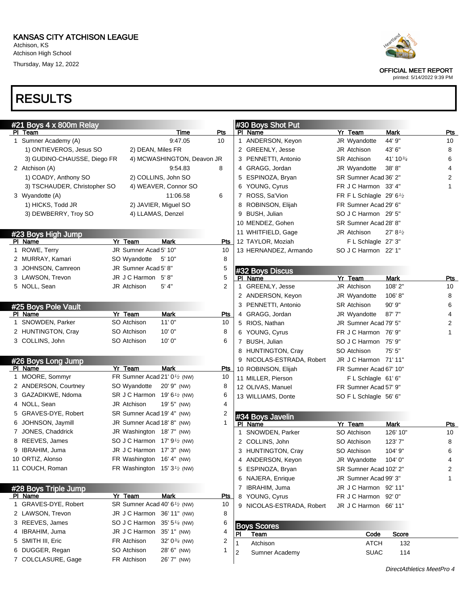Atchison, KS Atchison High School Thursday, May 12, 2022

# RESULTS



OFFICIAL MEET REPORT

printed: 5/14/2022 9:39 PM

| #21 Boys 4 x 800m Relay         |                                                       |                            |            |    | #30 Boys Shot Put                      |                                    |                         |                  |
|---------------------------------|-------------------------------------------------------|----------------------------|------------|----|----------------------------------------|------------------------------------|-------------------------|------------------|
| PI Team                         |                                                       | Time                       | <u>Pts</u> |    | PI Name                                | Yr Team                            | Mark                    | Pts              |
| 1 Sumner Academy (A)            |                                                       | 9:47.05                    | 10         |    | ANDERSON, Keyon                        | JR Wyandotte                       | 44' 9"                  | 10               |
| 1) ONTIEVEROS, Jesus SO         | 2) DEAN, Miles FR                                     |                            |            |    | 2 GREENLY, Jesse                       | JR Atchison                        | 43' 6"                  | 8                |
| 3) GUDINO-CHAUSSE, Diego FR     |                                                       | 4) MCWASHINGTON, Deavon JR |            |    | 3 PENNETTI, Antonio                    | <b>SR Atchison</b>                 | 41' 10 <sup>3/4</sup>   | 6                |
| 2 Atchison (A)                  |                                                       | 9:54.83                    | 8          |    | 4 GRAGG, Jordan                        | JR Wyandotte                       | 38'8"                   | 4                |
| 1) COADY, Anthony SO            |                                                       | 2) COLLINS, John SO        |            |    | 5 ESPINOZA, Bryan                      | SR Sumner Acad 36' 2"              |                         | 2                |
| 3) TSCHAUDER, Christopher SO    |                                                       | 4) WEAVER, Connor SO       |            |    | 6 YOUNG, Cyrus                         | FR J C Harmon 33' 4"               |                         | 1                |
| 3 Wyandotte (A)                 |                                                       | 11:06.58                   | 6          |    | 7 ROSS, Sa'Vion                        | FR F L Schlagle 29' $6\frac{1}{2}$ |                         |                  |
| 1) HICKS, Todd JR               |                                                       | 2) JAVIER, Miguel SO       |            |    | 8 ROBINSON, Elijah                     | FR Sumner Acad 29' 6"              |                         |                  |
| 3) DEWBERRY, Troy SO            | 4) LLAMAS, Denzel                                     |                            |            |    | 9 BUSH, Julian                         | SO J C Harmon 29' 5"               |                         |                  |
|                                 |                                                       |                            |            |    | 10 MENDEZ, Gohen                       | SR Sumner Acad 28' 8"              |                         |                  |
| #23 Boys High Jump              |                                                       |                            |            |    | 11 WHITFIELD, Gage                     | JR Atchison                        | 27' 8'                  |                  |
| PI Name                         | Yr Team                                               | <b>Mark</b>                | <b>Pts</b> |    | 12 TAYLOR, Moziah                      | F L Schlagle 27' 3"                |                         |                  |
| 1 ROWE, Terry                   | JR Sumner Acad 5' 10"                                 |                            | 10         |    | 13 HERNANDEZ, Armando                  | SO J C Harmon 22' 1"               |                         |                  |
| 2 MURRAY, Kamari                | SO Wyandotte                                          | 5'10"                      | 8          |    |                                        |                                    |                         |                  |
| 3 JOHNSON, Camreon              | JR Sumner Acad 5' 8"                                  |                            | 5          |    | #32 Boys Discus                        |                                    |                         |                  |
| 3 LAWSON, Trevon                | JR J C Harmon 5'8"                                    |                            | 5          |    | PI Name                                | Yr Team                            | <b>Mark</b>             | <b>Pts</b>       |
| 5 NOLL, Sean                    | JR Atchison                                           | 5' 4"                      | 2          |    | 1 GREENLY, Jesse                       | JR Atchison                        | 108' 2"                 | 10               |
|                                 |                                                       |                            |            |    | 2 ANDERSON, Keyon                      | JR Wyandotte                       | 106'8"                  | 8                |
|                                 |                                                       |                            |            |    | 3 PENNETTI, Antonio                    | <b>SR Atchison</b>                 | $90'$ $9"$              | 6                |
| #25 Boys Pole Vault<br>PI Name  | Yr Team                                               | <b>Mark</b>                | Pts        |    | 4 GRAGG, Jordan                        | JR Wyandotte                       | 87'7''                  | 4                |
| 1 SNOWDEN, Parker               | SO Atchison                                           | 11'0''                     | 10         |    | 5 RIOS, Nathan                         | JR Sumner Acad 79' 5"              |                         | 2                |
| 2 HUNTINGTON, Cray              | SO Atchison                                           | 10'0''                     | 8          |    | 6 YOUNG, Cyrus                         | FR J C Harmon 76' 9"               |                         | 1                |
| 3 COLLINS, John                 | SO Atchison                                           | 10'0''                     | 6          |    | 7 BUSH, Julian                         | SO J C Harmon 75' 9"               |                         |                  |
|                                 |                                                       |                            |            |    | 8 HUNTINGTON, Cray                     | SO Atchison                        | 75' 5"                  |                  |
|                                 |                                                       |                            |            |    | 9 NICOLAS-ESTRADA, Robert              | JR J C Harmon 71' 11"              |                         |                  |
| #26 Boys Long Jump<br>PI Name   | Yr Team                                               | <b>Mark</b>                | <u>Pts</u> |    | 10 ROBINSON, Elijah                    | FR Sumner Acad 67' 10"             |                         |                  |
| 1 MOORE, Sommyr                 | FR Sumner Acad 21' 0 <sup>1</sup> / <sub>2</sub> (NW) |                            | 10         |    | 11 MILLER, Pierson                     | FL Schlagle 61'6"                  |                         |                  |
| 2 ANDERSON, Courtney            | SO Wyandotte                                          | 20'9" (NW)                 | 8          |    | 12 OLIVAS, Manuel                      | FR Sumner Acad 57' 9"              |                         |                  |
| 3 GAZADIKWE, Ndoma              | SR J C Harmon 19' 6 <sup>1</sup> / <sub>2</sub> (NW)  |                            | 6          |    | 13 WILLIAMS, Donte                     | SO F L Schlagle 56' 6"             |                         |                  |
| 4 NOLL, Sean                    | JR Atchison                                           | 19' 5" (NW)                | 4          |    |                                        |                                    |                         |                  |
| 5 GRAVES-DYE, Robert            | SR Sumner Acad 19' 4" (NW)                            |                            | 2          |    |                                        |                                    |                         |                  |
| 6 JOHNSON, Jaymill              | JR Sumner Acad 18' 8" (NW)                            |                            | 1          |    | #34 Boys Javelin<br>PI Name            |                                    |                         |                  |
| 7 JONES, Chaddrick              | JR Washington 18'7" (NW)                              |                            |            |    | 1 SNOWDEN, Parker                      | Yr Team<br>SO Atchison             | <b>Mark</b><br>126' 10" | <u>Pts</u><br>10 |
| 8 REEVES, James                 | SO J C Harmon 17' 9 <sup>1</sup> / <sub>2</sub> (NW)  |                            |            |    | 2 COLLINS, John                        | SO Atchison                        | 123'7"                  | 8                |
| 9 IBRAHIM, Juma                 | JR J C Harmon 17' 3" (NW)                             |                            |            |    | 3 HUNTINGTON, Cray                     | SO Atchison                        | 104' 9"                 | 6                |
| 10 ORTIZ, Alonso                | FR Washington 16' 4" (NW)                             |                            |            |    |                                        | JR Wyandotte 104' 0"               |                         | 4                |
| 11 COUCH, Roman                 | FR Washington $15'3'$ (NW)                            |                            |            |    | 4 ANDERSON, Keyon<br>5 ESPINOZA, Bryan |                                    |                         |                  |
|                                 |                                                       |                            |            |    |                                        | SR Sumner Acad 102' 2"             |                         | 2                |
|                                 |                                                       |                            |            |    | 6 NAJERA, Enrique                      | JR Sumner Acad 99' 3"              |                         | 1                |
| #28 Boys Triple Jump            |                                                       | <b>Mark</b>                |            |    | 7 IBRAHIM, Juma                        | JR J C Harmon 92' 11"              |                         |                  |
| PI Name<br>1 GRAVES-DYE, Robert | Yr Team                                               |                            | <u>Pts</u> |    | 8 YOUNG, Cyrus                         | FR J C Harmon 92' 0"               |                         |                  |
|                                 | SR Sumner Acad 40' 6 <sup>1/2</sup> (NW)              |                            | 10         |    | 9 NICOLAS-ESTRADA, Robert              | JR J C Harmon 66' 11"              |                         |                  |
| 2 LAWSON, Trevon                | JR J C Harmon 36' 11" (NW)                            |                            | 8          |    |                                        |                                    |                         |                  |
| 3 REEVES, James                 | SO J C Harmon 35' 5 <sup>1/4</sup> (NW)               |                            | 6          |    | <b>Boys Scores</b>                     |                                    |                         |                  |
| 4 IBRAHIM, Juma                 | JR J C Harmon 35' 1" (NW)                             |                            | 4          | PI | Team                                   | Code                               | Score                   |                  |
| 5 SMITH III, Eric               | FR Atchison                                           | 32' $0\frac{3}{4}$ (NW)    | 2          |    | Atchison                               | <b>ATCH</b>                        | 132                     |                  |
| 6 DUGGER, Regan                 | SO Atchison                                           | 28' 6" (NW)                | 1          | 2  | Sumner Academy                         | <b>SUAC</b>                        | 114                     |                  |
| 7 COLCLASURE, Gage              | FR Atchison                                           | 26' 7" (NW)                |            |    |                                        |                                    |                         |                  |